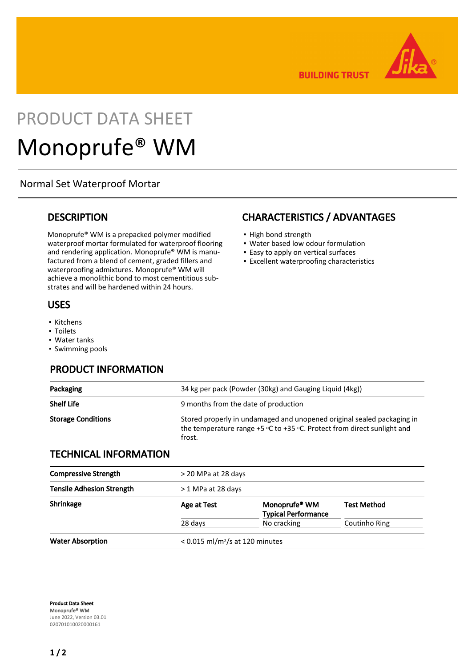

**BUILDING TRUST** 

# PRODUCT DATA SHEET Monoprufe® WM

### Normal Set Waterproof Mortar

### **DESCRIPTION**

Monoprufe® WM is a prepacked polymer modified waterproof mortar formulated for waterproof flooring and rendering application. Monoprufe® WM is manufactured from a blend of cement, graded fillers and waterproofing admixtures. Monoprufe® WM will achieve a monolithic bond to most cementitious substrates and will be hardened within 24 hours.

#### USES

- Kitchens
- Toilets
- Water tanks
- Swimming pools

### PRODUCT INFORMATION

### CHARACTERISTICS / ADVANTAGES

- High bond strength
- Water based low odour formulation
- Easy to apply on vertical surfaces
- Excellent waterproofing characteristics

| Packaging                    | 34 kg per pack (Powder (30kg) and Gauging Liquid (4kg))                                                                                                                                                 |  |  |
|------------------------------|---------------------------------------------------------------------------------------------------------------------------------------------------------------------------------------------------------|--|--|
| <b>Shelf Life</b>            | 9 months from the date of production<br>Stored properly in undamaged and unopened original sealed packaging in<br>the temperature range $+5$ °C to $+35$ °C. Protect from direct sunlight and<br>frost. |  |  |
| <b>Storage Conditions</b>    |                                                                                                                                                                                                         |  |  |
| <b>TECHNICAL INFORMATION</b> |                                                                                                                                                                                                         |  |  |
| Compressive Strength         | $>$ 20 MPa at 28 days                                                                                                                                                                                   |  |  |

| <b>Compressive Strength</b>      | > 20 MPa at 28 days                           |                                                         |                    |  |
|----------------------------------|-----------------------------------------------|---------------------------------------------------------|--------------------|--|
| <b>Tensile Adhesion Strength</b> | > 1 MPa at 28 days                            |                                                         |                    |  |
| Shrinkage                        | Age at Test                                   | Monoprufe <sup>®</sup> WM<br><b>Typical Performance</b> | <b>Test Method</b> |  |
|                                  | 28 days                                       | No cracking                                             | Coutinho Ring      |  |
| <b>Water Absorption</b>          | $< 0.015$ ml/m <sup>2</sup> /s at 120 minutes |                                                         |                    |  |

Product Data Sheet Monoprufe® WM June 2022, Version 03.01 020701010020000161